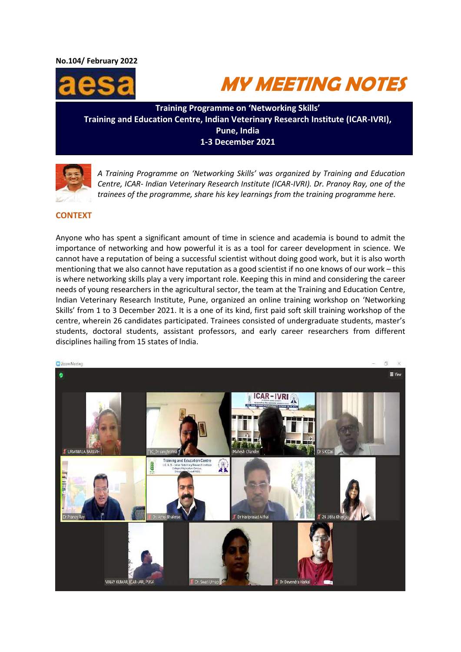**No.104/ February 2022** 





**Training Programme on 'Networking Skills' Training and Education Centre, Indian Veterinary Research Institute (ICAR-IVRI), Pune, India 1-3 December 2021**



*A Training Programme on 'Networking Skills' was organized by Training and Education Centre, ICAR- Indian Veterinary Research Institute (ICAR-IVRI). Dr. Pranoy Ray, one of the trainees of the programme, share his key learnings from the training programme here.*

# **CONTEXT**

Anyone who has spent a significant amount of time in science and academia is bound to admit the importance of networking and how powerful it is as a tool for career development in science. We cannot have a reputation of being a successful scientist without doing good work, but it is also worth mentioning that we also cannot have reputation as a good scientist if no one knows of our work – this is where networking skills play a very important role. Keeping this in mind and considering the career needs of young researchers in the agricultural sector, the team at the Training and Education Centre, Indian Veterinary Research Institute, Pune, organized an online training workshop on 'Networking Skills' from 1 to 3 December 2021. It is a one of its kind, first paid soft skill training workshop of the centre, wherein 26 candidates participated. Trainees consisted of undergraduate students, master's students, doctoral students, assistant professors, and early career researchers from different disciplines hailing from 15 states of India.

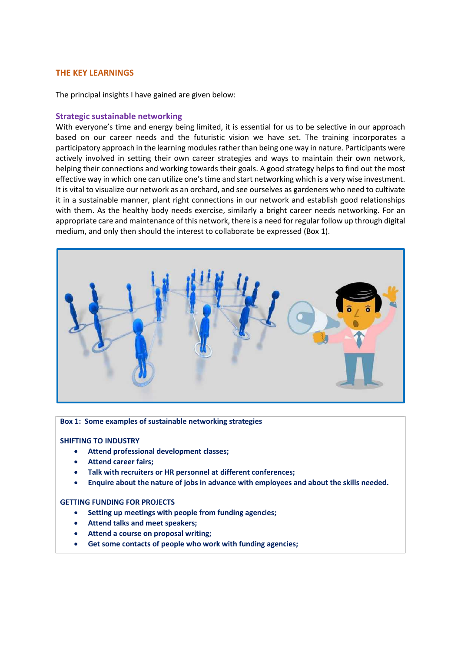### **THE KEY LEARNINGS**

The principal insights I have gained are given below:

#### **Strategic sustainable networking**

With everyone's time and energy being limited, it is essential for us to be selective in our approach based on our career needs and the futuristic vision we have set. The training incorporates a participatory approach in the learning modules rather than being one way in nature. Participants were actively involved in setting their own career strategies and ways to maintain their own network, helping their connections and working towards their goals. A good strategy helps to find out the most effective way in which one can utilize one's time and start networking which is a very wise investment. It is vital to visualize our network as an orchard, and see ourselves as gardeners who need to cultivate it in a sustainable manner, plant right connections in our network and establish good relationships with them. As the healthy body needs exercise, similarly a bright career needs networking. For an appropriate care and maintenance of this network, there is a need for regular follow up through digital medium, and only then should the interest to collaborate be expressed (Box 1).



#### **Box 1: Some examples of sustainable networking strategies**

#### **SHIFTING TO INDUSTRY**

- **Attend professional development classes;**
- **Attend career fairs;**
- **Talk with recruiters or HR personnel at different conferences;**
- **Enquire about the nature of jobs in advance with employees and about the skills needed.**

#### **GETTING FUNDING FOR PROJECTS**

- **Setting up meetings with people from funding agencies;**
- **Attend talks and meet speakers;**
- **Attend a course on proposal writing;**
- **Get some contacts of people who work with funding agencies;**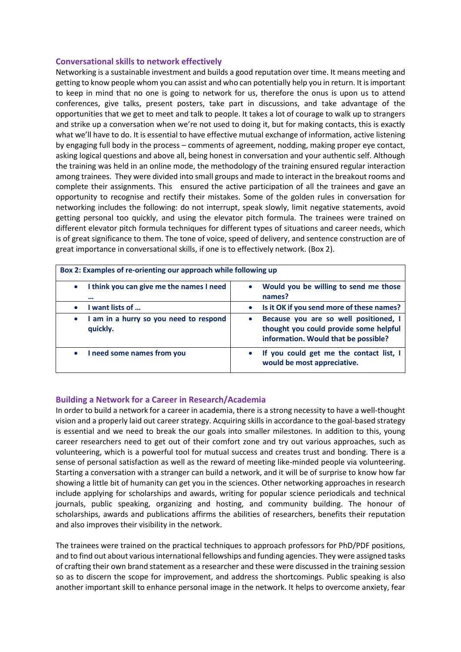## **Conversational skills to network effectively**

Networking is a sustainable investment and builds a good reputation over time. It means meeting and getting to know people whom you can assist and who can potentially help you in return. It is important to keep in mind that no one is going to network for us, therefore the onus is upon us to attend conferences, give talks, present posters, take part in discussions, and take advantage of the opportunities that we get to meet and talk to people. It takes a lot of courage to walk up to strangers and strike up a conversation when we're not used to doing it, but for making contacts, this is exactly what we'll have to do. It is essential to have effective mutual exchange of information, active listening by engaging full body in the process – comments of agreement, nodding, making proper eye contact, asking logical questions and above all, being honest in conversation and your authentic self. Although the training was held in an online mode, the methodology of the training ensured regular interaction among trainees. They were divided into small groups and made to interact in the breakout rooms and complete their assignments. This ensured the active participation of all the trainees and gave an opportunity to recognise and rectify their mistakes. Some of the golden rules in conversation for networking includes the following: do not interrupt, speak slowly, limit negative statements, avoid getting personal too quickly, and using the elevator pitch formula. The trainees were trained on different elevator pitch formula techniques for different types of situations and career needs, which is of great significance to them. The tone of voice, speed of delivery, and sentence construction are of great importance in conversational skills, if one is to effectively network. (Box 2).

| Box 2: Examples of re-orienting our approach while following up |                                                                                                                                      |
|-----------------------------------------------------------------|--------------------------------------------------------------------------------------------------------------------------------------|
| I think you can give me the names I need<br>$\bullet$<br>       | Would you be willing to send me those<br>$\bullet$<br>names?                                                                         |
| want lists of<br>$\bullet$                                      | Is it OK if you send more of these names?<br>$\bullet$                                                                               |
| I am in a hurry so you need to respond<br>$\bullet$<br>quickly. | Because you are so well positioned, I<br>$\bullet$<br>thought you could provide some helpful<br>information. Would that be possible? |
| I need some names from you<br>$\bullet$                         | If you could get me the contact list, I<br>$\bullet$<br>would be most appreciative.                                                  |

### **Building a Network for a Career in Research/Academia**

In order to build a network for a career in academia, there is a strong necessity to have a well-thought vision and a properly laid out career strategy. Acquiring skills in accordance to the goal-based strategy is essential and we need to break the our goals into smaller milestones. In addition to this, young career researchers need to get out of their comfort zone and try out various approaches, such as volunteering, which is a powerful tool for mutual success and creates trust and bonding. There is a sense of personal satisfaction as well as the reward of meeting like-minded people via volunteering. Starting a conversation with a stranger can build a network, and it will be of surprise to know how far showing a little bit of humanity can get you in the sciences. Other networking approaches in research include applying for scholarships and awards, writing for popular science periodicals and technical journals, public speaking, organizing and hosting, and community building. The honour of scholarships, awards and publications affirms the abilities of researchers, benefits their reputation and also improves their visibility in the network.

The trainees were trained on the practical techniques to approach professors for PhD/PDF positions, and to find out about various international fellowships and funding agencies. They were assigned tasks of crafting their own brand statement as a researcher and these were discussed in the training session so as to discern the scope for improvement, and address the shortcomings. Public speaking is also another important skill to enhance personal image in the network. It helps to overcome anxiety, fear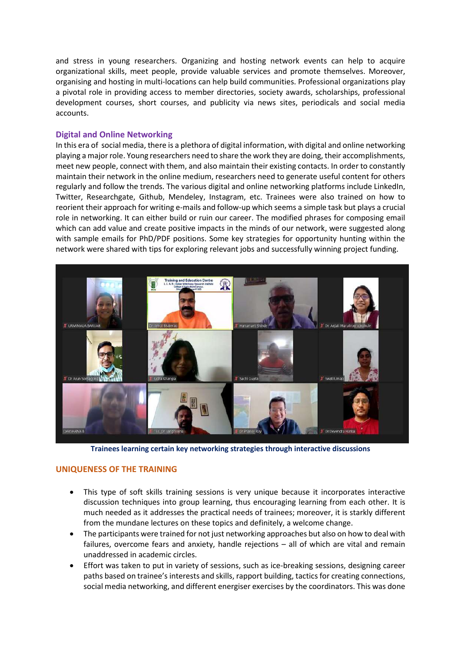and stress in young researchers. Organizing and hosting network events can help to acquire organizational skills, meet people, provide valuable services and promote themselves. Moreover, organising and hosting in multi-locations can help build communities. Professional organizations play a pivotal role in providing access to member directories, society awards, scholarships, professional development courses, short courses, and publicity via news sites, periodicals and social media accounts.

## **Digital and Online Networking**

In this era of social media, there is a plethora of digital information, with digital and online networking playing a major role. Young researchers need to share the work they are doing, their accomplishments, meet new people, connect with them, and also maintain their existing contacts. In order to constantly maintain their network in the online medium, researchers need to generate useful content for others regularly and follow the trends. The various digital and online networking platforms include LinkedIn, Twitter, Researchgate, Github, Mendeley, Instagram, etc. Trainees were also trained on how to reorient their approach for writing e-mails and follow-up which seems a simple task but plays a crucial role in networking. It can either build or ruin our career. The modified phrases for composing email which can add value and create positive impacts in the minds of our network, were suggested along with sample emails for PhD/PDF positions. Some key strategies for opportunity hunting within the network were shared with tips for exploring relevant jobs and successfully winning project funding.



**Trainees learning certain key networking strategies through interactive discussions**

### **UNIQUENESS OF THE TRAINING**

- This type of soft skills training sessions is very unique because it incorporates interactive discussion techniques into group learning, thus encouraging learning from each other. It is much needed as it addresses the practical needs of trainees; moreover, it is starkly different from the mundane lectures on these topics and definitely, a welcome change.
- The participants were trained for not just networking approaches but also on how to deal with failures, overcome fears and anxiety, handle rejections – all of which are vital and remain unaddressed in academic circles.
- Effort was taken to put in variety of sessions, such as ice-breaking sessions, designing career paths based on trainee's interests and skills, rapport building, tactics for creating connections, social media networking, and different energiser exercises by the coordinators. This was done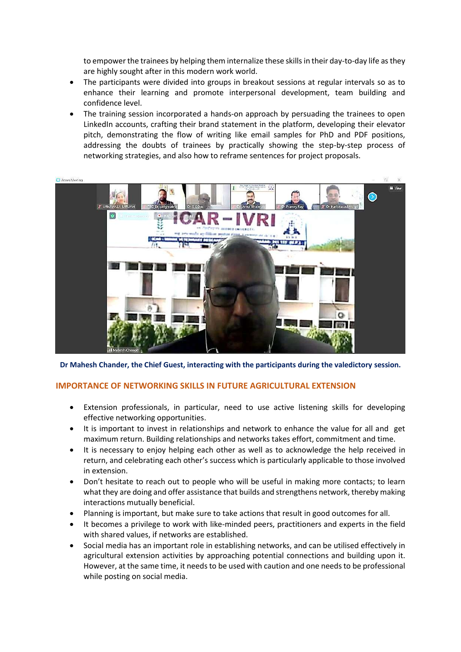to empower the trainees by helping them internalize these skills in their day-to-day life as they are highly sought after in this modern work world.

- The participants were divided into groups in breakout sessions at regular intervals so as to enhance their learning and promote interpersonal development, team building and confidence level.
- The training session incorporated a hands-on approach by persuading the trainees to open LinkedIn accounts, crafting their brand statement in the platform, developing their elevator pitch, demonstrating the flow of writing like email samples for PhD and PDF positions, addressing the doubts of trainees by practically showing the step-by-step process of networking strategies, and also how to reframe sentences for project proposals.



**Dr Mahesh Chander, the Chief Guest, interacting with the participants during the valedictory session.**

## **IMPORTANCE OF NETWORKING SKILLS IN FUTURE AGRICULTURAL EXTENSION**

- Extension professionals, in particular, need to use active listening skills for developing effective networking opportunities.
- It is important to invest in relationships and network to enhance the value for all and get maximum return. Building relationships and networks takes effort, commitment and time.
- It is necessary to enjoy helping each other as well as to acknowledge the help received in return, and celebrating each other's success which is particularly applicable to those involved in extension.
- Don't hesitate to reach out to people who will be useful in making more contacts; to learn what they are doing and offer assistance that builds and strengthens network, thereby making interactions mutually beneficial.
- Planning is important, but make sure to take actions that result in good outcomes for all.
- It becomes a privilege to work with like-minded peers, practitioners and experts in the field with shared values, if networks are established.
- Social media has an important role in establishing networks, and can be utilised effectively in agricultural extension activities by approaching potential connections and building upon it. However, at the same time, it needs to be used with caution and one needs to be professional while posting on social media.